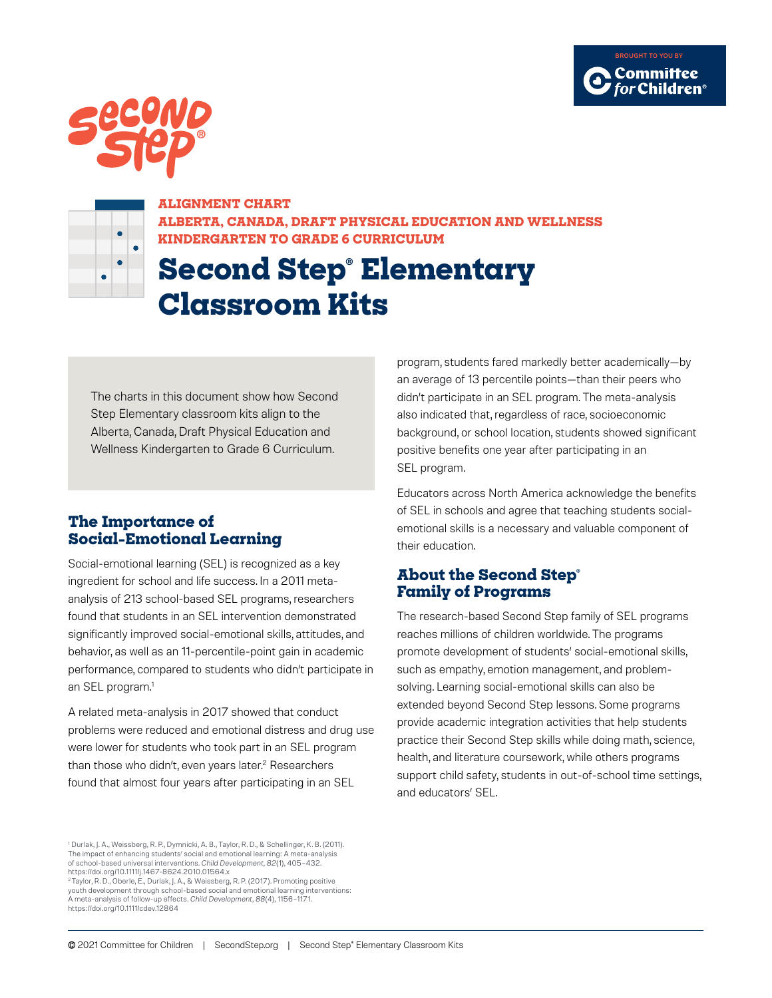





**ALIGNMENT CHART ALBERTA, CANADA, DRAFT PHYSICAL EDUCATION AND WELLNESS KINDERGARTEN TO GRADE 6 CURRICULUM**

## **Second Step® Elementary Classroom Kits**

The charts in this document show how Second Step Elementary classroom kits align to the Alberta, Canada, Draft Physical Education and Wellness Kindergarten to Grade 6 Curriculum.

## **The Importance of Social-Emotional Learning**

Social-emotional learning (SEL) is recognized as a key ingredient for school and life success. In a 2011 metaanalysis of 213 school-based SEL programs, researchers found that students in an SEL intervention demonstrated significantly improved social-emotional skills, attitudes, and behavior, as well as an 11-percentile-point gain in academic performance, compared to students who didn't participate in an SEL program.<sup>1</sup>

A related meta-analysis in 2017 showed that conduct problems were reduced and emotional distress and drug use were lower for students who took part in an SEL program than those who didn't, even years later.<sup>2</sup> Researchers found that almost four years after participating in an SEL

program, students fared markedly better academically—by an average of 13 percentile points—than their peers who didn't participate in an SEL program. The meta-analysis also indicated that, regardless of race, socioeconomic background, or school location, students showed significant positive benefits one year after participating in an SEL program.

Educators across North America acknowledge the benefits of SEL in schools and agree that teaching students socialemotional skills is a necessary and valuable component of their education.

## **About the Second Step® Family of Programs**

The research-based Second Step family of SEL programs reaches millions of children worldwide. The programs promote development of students' social-emotional skills, such as empathy, emotion management, and problemsolving. Learning social-emotional skills can also be extended beyond Second Step lessons. Some programs provide academic integration activities that help students practice their Second Step skills while doing math, science, health, and literature coursework, while others programs support child safety, students in out-of-school time settings, and educators' SEL.

2 Taylor, R. D., Oberle, E., Durlak, J. A., & Weissberg, R. P. (2017). Promoting positive youth development through school-based social and emotional learning interventions: A meta-analysis of follow-up effects. *Child Development, 88*(4), 1156–1171. https://doi.org/10.1111/cdev.12864

<sup>1</sup> Durlak, J. A., Weissberg, R. P., Dymnicki, A. B., Taylor, R. D., & Schellinger, K. B. (2011). The impact of enhancing students' social and emotional learning: A meta-analy of school-based universal interventions. *Child Development, 82*(1), 405–432. <https://doi.org/10.1111/j.1467-8624.2010.01564.x>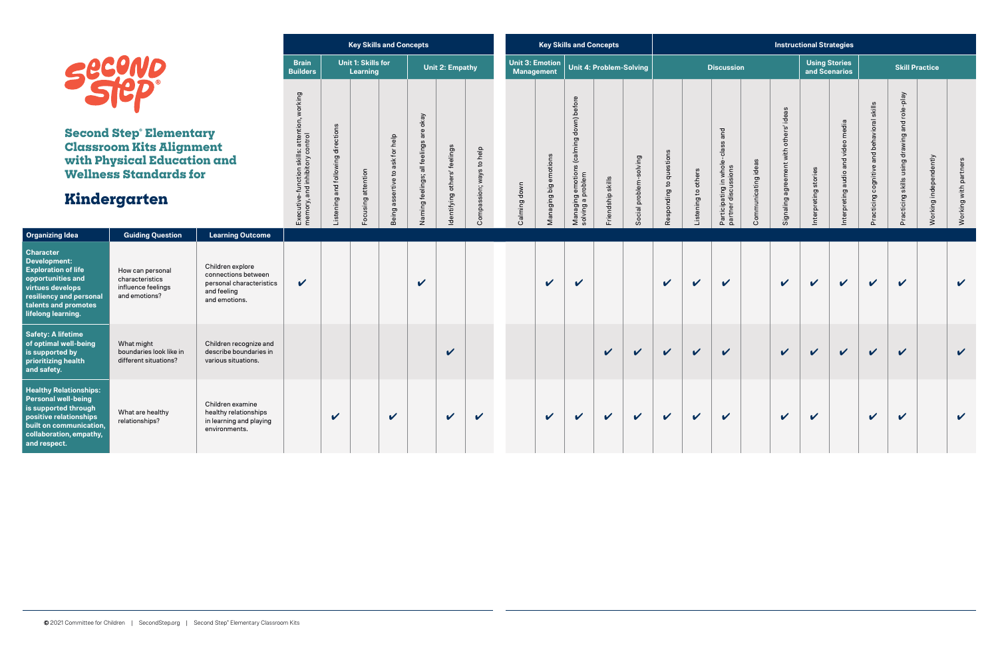|                                                                                                                                                                                    |                                                                                                                                                  |                                                                                                     |                                                                                    |                                    |                                       | <b>Key Skills and Concepts</b>                        |                                           |                             |                          |              |                                      | <b>Key Skills and Concepts</b>                                  |                         |                        |                         |                            |                                                          |                     |                                           | <b>Instructional Strategies</b>       |                                         |                                               |                                                     |                       |                       |
|------------------------------------------------------------------------------------------------------------------------------------------------------------------------------------|--------------------------------------------------------------------------------------------------------------------------------------------------|-----------------------------------------------------------------------------------------------------|------------------------------------------------------------------------------------|------------------------------------|---------------------------------------|-------------------------------------------------------|-------------------------------------------|-----------------------------|--------------------------|--------------|--------------------------------------|-----------------------------------------------------------------|-------------------------|------------------------|-------------------------|----------------------------|----------------------------------------------------------|---------------------|-------------------------------------------|---------------------------------------|-----------------------------------------|-----------------------------------------------|-----------------------------------------------------|-----------------------|-----------------------|
|                                                                                                                                                                                    | <b>secono</b>                                                                                                                                    |                                                                                                     | <b>Brain</b><br><b>Builders</b>                                                    |                                    | <b>Unit 1: Skills for</b><br>Learning |                                                       |                                           | Unit 2: Empathy             |                          |              | Unit 3: Emotion<br><b>Management</b> |                                                                 | Unit 4: Problem-Solving |                        |                         |                            | <b>Discussion</b>                                        |                     |                                           | <b>Using Stories</b><br>and Scenarios |                                         |                                               |                                                     | <b>Skill Practice</b> |                       |
|                                                                                                                                                                                    | <b>Second Step Elementary</b><br><b>Classroom Kits Alignment</b><br>with Physical Education and<br><b>Wellness Standards for</b><br>Kindergarten |                                                                                                     | working<br>Executive-function skills: attention,<br>memory, and inhibitory control | Listening and following directions | Focusing attention                    | help<br>ask for<br>$\mathbf{c}$<br>assertive<br>Being | are okay<br>Naming feelings; all feelings | dentifying others' feelings | Compassion; ways to help | Calming down | Managing big emotions                | down) before<br>Managing emotions (calming<br>solving a problem | Friendship skills       | Social problem-solving | Responding to questions | others<br>Listening to     | and<br>Participating in whole-cla<br>partner discussions | Communicating ideas | agreement with others' ideas<br>Signaling | Interpreting stories                  | video media<br>and<br>nterpreting audio | and behavioral skills<br>Practicing cognitive | role-play<br>and<br>Practicing skills using drawing | Working independently | Working with partners |
| <b>Organizing Idea</b>                                                                                                                                                             | <b>Guiding Question</b>                                                                                                                          | <b>Learning Outcome</b>                                                                             |                                                                                    |                                    |                                       |                                                       |                                           |                             |                          |              |                                      |                                                                 |                         |                        |                         |                            |                                                          |                     |                                           |                                       |                                         |                                               |                                                     |                       |                       |
| <b>Character</b><br>Development:<br><b>Exploration of life</b><br>opportunities and<br>virtues develops<br>resiliency and personal<br>talents and promotes<br>lifelong learning.   | How can personal<br>characteristics<br>influence feelings<br>and emotions?                                                                       | Children explore<br>connections between<br>personal characteristics<br>and feeling<br>and emotions. | $\boldsymbol{\mathcal{U}}$                                                         |                                    |                                       |                                                       | $\boldsymbol{\mathcal{U}}$                |                             |                          |              | $\mathbf v$                          | $\mathbf v$                                                     |                         |                        | $\checkmark$            | $\boldsymbol{\mathcal{U}}$ | $\mathbf v$                                              |                     | $\checkmark$                              | $\mathbf{v}$                          | $\mathbf v$                             | $\boldsymbol{\mathcal{U}}$                    | $\boldsymbol{\mathcal{U}}$                          |                       | $\checkmark$          |
| <b>Safety: A lifetime</b><br>of optimal well-being<br>is supported by<br>prioritizing health<br>and safety.                                                                        | What might<br>boundaries look like in<br>different situations?                                                                                   | Children recognize and<br>describe boundaries in<br>various situations.                             |                                                                                    |                                    |                                       |                                                       |                                           | $\boldsymbol{\mathcal{U}}$  |                          |              |                                      |                                                                 | $\checkmark$            | $\checkmark$           | $\checkmark$            | $\checkmark$               | $\mathbf v$                                              |                     | $\mathbf v$                               | $\mathbf v$                           | $\mathbf v$                             | $\mathbf v$                                   | $\boldsymbol{\mathcal{U}}$                          |                       | $\checkmark$          |
| <b>Healthy Relationships:</b><br><b>Personal well-being</b><br>is supported through<br>positive relationships<br>built on communication<br>collaboration, empathy,<br>and respect. | Children examine<br>healthy relationships<br>What are healthy<br>relationships?<br>in learning and playing<br>environments.                      |                                                                                                     |                                                                                    | $\checkmark$                       |                                       | $\boldsymbol{\mathcal{U}}$                            |                                           | $\boldsymbol{\mathcal{U}}$  | $\checkmark$             |              | $\mathbf v$                          | $\mathbf v$                                                     | $\mathbf{v}$            | $\mathbf v$            | $\checkmark$            | $\checkmark$               | $\mathbf v$                                              |                     | $\boldsymbol{\mathcal{U}}$                | $\mathbf v$                           |                                         | $\mathbf v$                                   | $\mathbf{v}$                                        |                       | $\mathbf v$           |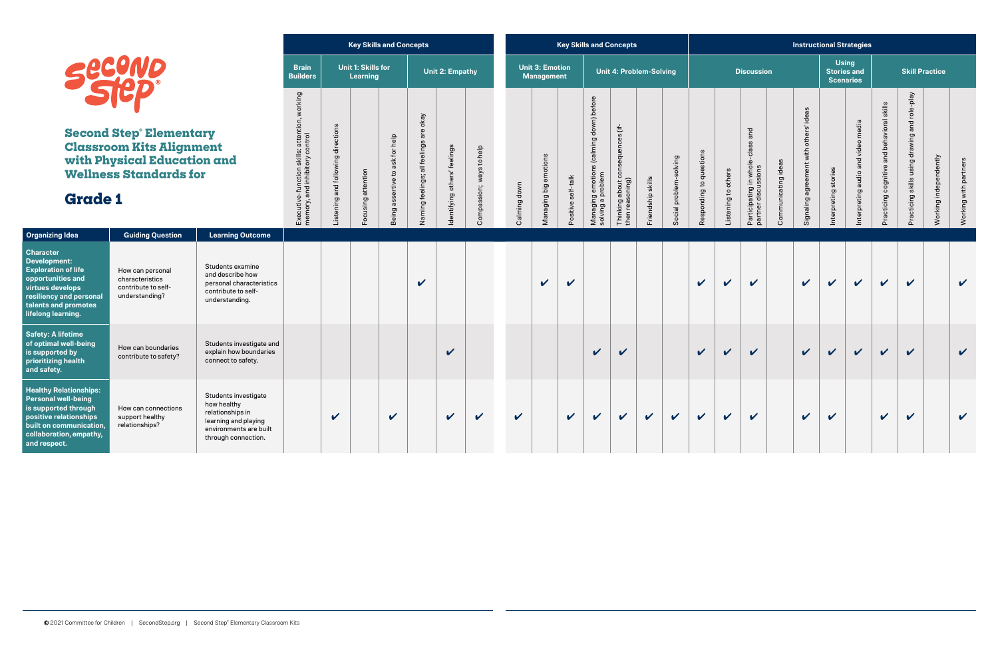|                                                                                                                                                                                         |                                                                                                                                  |                                                                                                                                  |                                                                                    |                                   |                                              | <b>Key Skills and Concepts</b>        |                                        |                              |                             |              |                                             |                    | <b>Key Skills and Concepts</b>                                  |                                                           |                                |                        |                         |                     |                                                            |                     |                                        |                                  | <b>Instructional Strategies</b>    |                                            |                                                     |                       |                       |
|-----------------------------------------------------------------------------------------------------------------------------------------------------------------------------------------|----------------------------------------------------------------------------------------------------------------------------------|----------------------------------------------------------------------------------------------------------------------------------|------------------------------------------------------------------------------------|-----------------------------------|----------------------------------------------|---------------------------------------|----------------------------------------|------------------------------|-----------------------------|--------------|---------------------------------------------|--------------------|-----------------------------------------------------------------|-----------------------------------------------------------|--------------------------------|------------------------|-------------------------|---------------------|------------------------------------------------------------|---------------------|----------------------------------------|----------------------------------|------------------------------------|--------------------------------------------|-----------------------------------------------------|-----------------------|-----------------------|
|                                                                                                                                                                                         | Secend                                                                                                                           |                                                                                                                                  | <b>Brain</b><br><b>Builders</b>                                                    |                                   | <b>Unit 1: Skills for</b><br><b>Learning</b> |                                       |                                        | Unit 2: Empathy              |                             |              | <b>Unit 3: Emotion</b><br><b>Management</b> |                    |                                                                 |                                                           | <b>Unit 4: Problem-Solving</b> |                        |                         |                     | <b>Discussion</b>                                          |                     |                                        | <b>Using</b><br><b>Scenarios</b> | <b>Stories and</b>                 |                                            | <b>Skill Practice</b>                               |                       |                       |
| <b>Grade 1</b>                                                                                                                                                                          | <b>Second Step Elementary</b><br><b>Classroom Kits Alignment</b><br>with Physical Education and<br><b>Wellness Standards for</b> |                                                                                                                                  | working<br>Executive-function skills: attention,<br>memory, and inhibitory control | istening and following directions | Focusing attention                           | to ask for help<br>assertive<br>Being | Naming feelings; all feelings are okay | Identifying others' feelings | ways to help<br>Compassion; | Calming down | Managing big emotions                       | Positive self-talk | down) before<br>Managing emotions (calming<br>solving a problem | consequences (if-<br>then reasoning)<br>about<br>Thinking | Friendship skills              | Social problem-solving | Responding to questions | Listening to others | and<br>Participating in whole-class<br>partner discussions | Communicating ideas | Signaling agreement with others' ideas | Interpreting stories             | Interpreting audio and video media | Practicing cognitive and behavioral skills | role-play<br>and<br>Practicing skills using drawing | Working independently | Working with partners |
| <b>Organizing Idea</b>                                                                                                                                                                  | <b>Guiding Question</b>                                                                                                          | <b>Learning Outcome</b>                                                                                                          |                                                                                    |                                   |                                              |                                       |                                        |                              |                             |              |                                             |                    |                                                                 |                                                           |                                |                        |                         |                     |                                                            |                     |                                        |                                  |                                    |                                            |                                                     |                       |                       |
| <b>Character</b><br><b>Development:</b><br><b>Exploration of life</b><br>opportunities and<br>virtues develops<br>resiliency and personal<br>talents and promotes<br>lifelong learning. | How can personal<br>characteristics<br>contribute to self-<br>understanding?                                                     | Students examine<br>and describe how<br>personal characteristics<br>contribute to self-<br>understanding.                        |                                                                                    |                                   |                                              |                                       | $\checkmark$                           |                              |                             |              | $\mathbf{v}$                                | V                  |                                                                 |                                                           |                                |                        | $\checkmark$            | $\checkmark$        | $\checkmark$                                               |                     | $\mathbf{v}$                           | $\mathbf v$                      | $\checkmark$                       | $\checkmark$                               | $\checkmark$                                        |                       | $\mathbf v$           |
| <b>Safety: A lifetime</b><br>of optimal well-being<br>is supported by<br>prioritizing health<br>and safety.                                                                             | How can boundaries<br>contribute to safety?                                                                                      | Students investigate and<br>explain how boundaries<br>connect to safety.                                                         |                                                                                    |                                   |                                              |                                       |                                        | V                            |                             |              |                                             |                    | $\boldsymbol{\mathcal{U}}$                                      | $\boldsymbol{\nu}$                                        |                                |                        | $\mathbf v$             | $\mathbf{v}$        | $\mathbf v$                                                |                     | $\mathbf v$                            | $\checkmark$                     | $\checkmark$                       | $\checkmark$                               | $\checkmark$                                        |                       | $\checkmark$          |
| <b>Healthy Relationships:</b><br><b>Personal well-being</b><br>is supported through<br>positive relationships<br>built on communication,<br>collaboration, empathy,<br>and respect.     | How can connections<br>support healthy<br>relationships?                                                                         | Students investigate<br>how healthy<br>relationships in<br>learning and playing<br>environments are built<br>through connection. |                                                                                    | V                                 |                                              | $\mathbf v$                           |                                        | $\boldsymbol{\mathcal{U}}$   | $\mathbf v$                 | $\checkmark$ |                                             | $\mathbf v$        | $\mathbf v$                                                     | $\mathbf v$                                               | $\checkmark$                   | $\mathbf v$            | $\mathbf v$             | $\mathbf v$         | $\mathbf v$                                                |                     | $\mathbf v$                            | $\mathbf v$                      |                                    | $\checkmark$                               | $\checkmark$                                        |                       | $\mathbf v$           |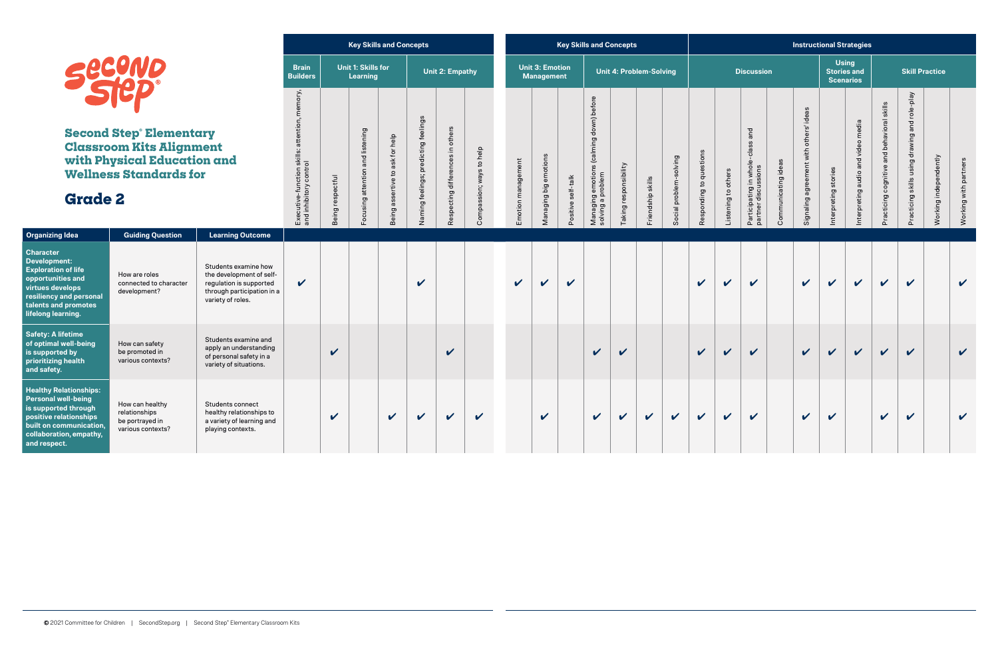|                                                                                                                                                                                     |                                                                                                                                                                                   |                                                                                                                                |                                                                            |                            | <b>Key Skills and Concepts</b>               |                                                       |                                      |                                  |                          |                         |                                             |                            | <b>Key Skills and Concepts</b>                                  |                                |                   |                        |                         |                     |                                                            |                     | <b>Instructional Strategies</b>        |                                  |                                    |                                            |                                               |                       |                       |
|-------------------------------------------------------------------------------------------------------------------------------------------------------------------------------------|-----------------------------------------------------------------------------------------------------------------------------------------------------------------------------------|--------------------------------------------------------------------------------------------------------------------------------|----------------------------------------------------------------------------|----------------------------|----------------------------------------------|-------------------------------------------------------|--------------------------------------|----------------------------------|--------------------------|-------------------------|---------------------------------------------|----------------------------|-----------------------------------------------------------------|--------------------------------|-------------------|------------------------|-------------------------|---------------------|------------------------------------------------------------|---------------------|----------------------------------------|----------------------------------|------------------------------------|--------------------------------------------|-----------------------------------------------|-----------------------|-----------------------|
|                                                                                                                                                                                     | <b>SECOND</b>                                                                                                                                                                     |                                                                                                                                | <b>Brain</b><br><b>Builders</b>                                            |                            | <b>Unit 1: Skills for</b><br><b>Learning</b> |                                                       |                                      | Unit 2: Empathy                  |                          |                         | <b>Unit 3: Emotion</b><br><b>Management</b> |                            |                                                                 | <b>Unit 4: Problem-Solving</b> |                   |                        |                         |                     | <b>Discussion</b>                                          |                     |                                        | <b>Using</b><br><b>Scenarios</b> | <b>Stories and</b>                 |                                            | <b>Skill Practice</b>                         |                       |                       |
| <b>Grade 2</b>                                                                                                                                                                      | <b>Second Step Elementary</b><br><b>Classroom Kits Alignment</b><br>with Physical Education and<br><b>Wellness Standards for</b>                                                  |                                                                                                                                | memory,<br>Executive-function skills: attention,<br>and inhibitory control | Being respectful           | Focusing attention and listening             | help<br>ask for<br>$\mathbf{S}$<br>assertive<br>Being | Naming feelings; predicting feelings | Respecting differences in others | Compassion; ways to help | management<br>Emotion I | emotions<br>big<br>Managing                 | self-talk<br>itive<br>Posi | down) before<br>Managing emotions (calming<br>solving a problem | Taking responsibility          | Friendship skills | Social problem-solving | Responding to questions | Listening to others | and<br>Participating in whole-class<br>partner discussions | Communicating ideas | Signaling agreement with others' ideas | Interpreting stories             | Interpreting audio and video media | Practicing cognitive and behavioral skills | Practicing skills using drawing and role-play | Working independently | Working with partners |
| <b>Organizing Idea</b>                                                                                                                                                              | <b>Guiding Question</b>                                                                                                                                                           | <b>Learning Outcome</b>                                                                                                        |                                                                            |                            |                                              |                                                       |                                      |                                  |                          |                         |                                             |                            |                                                                 |                                |                   |                        |                         |                     |                                                            |                     |                                        |                                  |                                    |                                            |                                               |                       |                       |
| <b>Character</b><br>Development:<br><b>Exploration of life</b><br>opportunities and<br>virtues develops<br>resiliency and personal<br>talents and promotes<br>lifelong learning.    | How are roles<br>connected to character<br>development?                                                                                                                           | Students examine how<br>the development of self-<br>regulation is supported<br>through participation in a<br>variety of roles. | V                                                                          |                            |                                              |                                                       | $\boldsymbol{\mathcal{U}}$           |                                  |                          | $\mathbf v$             | V                                           | V                          |                                                                 |                                |                   |                        | $\mathbf v$             | $\mathbf v$         | $\mathbf{v}$                                               |                     | $\boldsymbol{\nu}$                     | V                                | $\mathbf v$                        | $\checkmark$                               | $\mathbf v$                                   |                       | $\checkmark$          |
| <b>Safety: A lifetime</b><br>of optimal well-being<br>is supported by<br>prioritizing health<br>and safety.                                                                         | How can safety<br>be promoted in<br>various contexts?                                                                                                                             | Students examine and<br>apply an understanding<br>of personal safety in a<br>variety of situations.                            |                                                                            | $\boldsymbol{\mathcal{U}}$ |                                              |                                                       |                                      | V                                |                          |                         |                                             |                            | $\mathbf{v}$                                                    | V                              |                   |                        | $\checkmark$            | $\mathbf v$         | $\checkmark$                                               |                     | $\checkmark$                           | $\checkmark$                     | $\checkmark$                       | $\checkmark$                               | $\checkmark$                                  |                       | $\checkmark$          |
| <b>Healthy Relationships:</b><br><b>Personal well-being</b><br>is supported through<br>positive relationships<br>built on communication.<br>collaboration, empathy,<br>and respect. | How can healthy<br><b>Students connect</b><br>relationships<br>healthy relationships to<br>a variety of learning and<br>be portrayed in<br>various contexts?<br>playing contexts. |                                                                                                                                |                                                                            | $\checkmark$               |                                              | $\mathbf v$                                           | $\mathbf v$                          | $\mathbf v$                      | $\checkmark$             |                         | $\checkmark$                                |                            | $\mathbf v$                                                     | $\mathbf{v}$                   | $\checkmark$      | $\checkmark$           | $\checkmark$            | $\mathbf v$         | $\mathbf v$                                                |                     | $\checkmark$                           | $\boldsymbol{\mathcal{U}}$       |                                    | $\checkmark$                               | $\mathbf v$                                   |                       | $\mathbf v$           |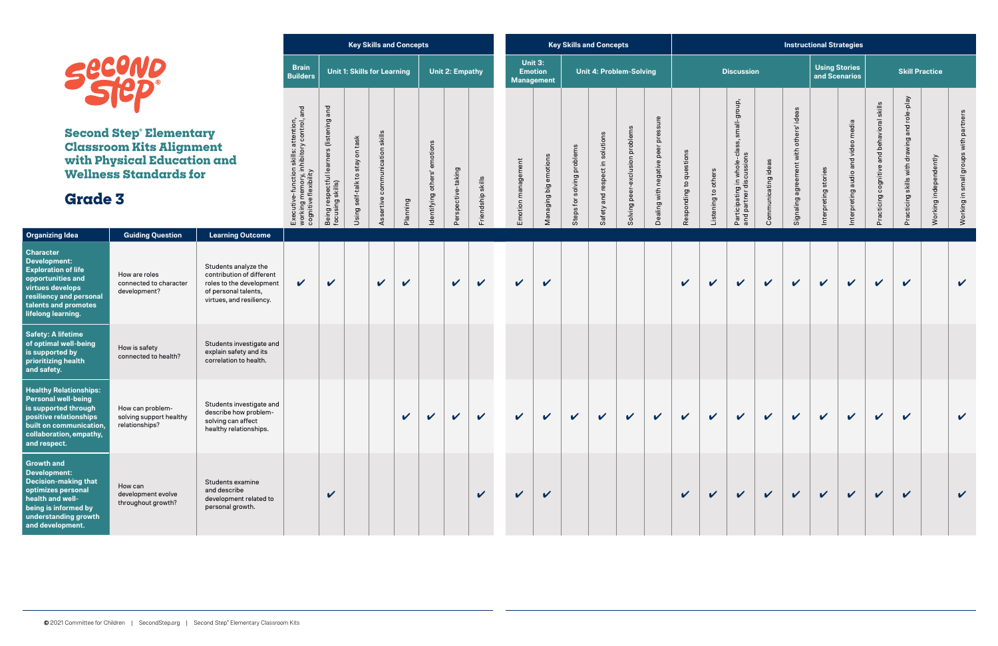

|                                                                                                                                                                                         |                                                                                                                                  |                                                                                                                                   |                                                                                                           |                                                                 |                                 | <b>Key Skills and Concepts</b>     |                            |                                 |                        |                  |                       |                                     |                            | <b>Key Skills and Concepts</b>  |                                 |                                        |                            |                     |                                                                                    |                     |                                           | <b>Instructional Strategies</b>       |                                       |                                            |                                              |                       |                                       |
|-----------------------------------------------------------------------------------------------------------------------------------------------------------------------------------------|----------------------------------------------------------------------------------------------------------------------------------|-----------------------------------------------------------------------------------------------------------------------------------|-----------------------------------------------------------------------------------------------------------|-----------------------------------------------------------------|---------------------------------|------------------------------------|----------------------------|---------------------------------|------------------------|------------------|-----------------------|-------------------------------------|----------------------------|---------------------------------|---------------------------------|----------------------------------------|----------------------------|---------------------|------------------------------------------------------------------------------------|---------------------|-------------------------------------------|---------------------------------------|---------------------------------------|--------------------------------------------|----------------------------------------------|-----------------------|---------------------------------------|
|                                                                                                                                                                                         | <b>Second</b>                                                                                                                    |                                                                                                                                   | <b>Brain</b><br><b>Builders</b>                                                                           |                                                                 |                                 | <b>Unit 1: Skills for Learning</b> |                            |                                 | <b>Unit 2: Empathy</b> |                  | Unit 3:               | <b>Emotion</b><br><b>Management</b> |                            | <b>Unit 4: Problem-Solving</b>  |                                 |                                        |                            |                     | <b>Discussion</b>                                                                  |                     |                                           | <b>Using Stories</b><br>and Scenarios |                                       |                                            | <b>Skill Practice</b>                        |                       |                                       |
| <b>Grade 3</b>                                                                                                                                                                          | <b>Second Step Elementary</b><br><b>Classroom Kits Alignment</b><br>with Physical Education and<br><b>Wellness Standards for</b> |                                                                                                                                   | Executive-function skills: attention,<br>working memory, inhibitory control, and<br>cognitive flexibility | and<br>s (listening<br>Being respectful lea<br>focusing skills) | Using self-talk to stay on task | Assertive communication skills     | Planning                   | emotions<br>Identifying others' | spective-taking<br>৯   | riendship skills | management<br>Emotion | Managing big emotions               | Steps for solving problems | Safety and respect in solutions | Solving peer-exclusion problems | pressure<br>Dealing with negative peer | Responding to questions    | Listening to others | small-group,<br><b>SS</b><br>Participating in whole-cla<br>and partner discussions | Communicating ideas | others' ideas<br>Signaling agreement with | Interpreting stories                  | and video media<br>Interpreting audio | Practicing cognitive and behavioral skills | Practicing skills with drawing and role-play | Working independently | Working in small groups with partners |
| <b>Organizing Idea</b>                                                                                                                                                                  | <b>Guiding Question</b>                                                                                                          | <b>Learning Outcome</b>                                                                                                           |                                                                                                           |                                                                 |                                 |                                    |                            |                                 |                        |                  |                       |                                     |                            |                                 |                                 |                                        |                            |                     |                                                                                    |                     |                                           |                                       |                                       |                                            |                                              |                       |                                       |
| <b>Character</b><br><b>Development:</b><br><b>Exploration of life</b><br>opportunities and<br>virtues develops<br>resiliency and personal<br>talents and promotes<br>lifelong learning. | How are roles<br>connected to character<br>development?                                                                          | Students analyze the<br>contribution of different<br>roles to the development<br>of personal talents,<br>virtues, and resiliency. | $\boldsymbol{\mathcal{U}}$                                                                                | V                                                               |                                 | $\checkmark$                       | $\boldsymbol{\mathcal{U}}$ |                                 | $\mathbf v$            | $\mathbf{v}$     | $\mathbf v$           | $\mathbf v$                         |                            |                                 |                                 |                                        | $\mathbf v$                | $\checkmark$        | $\checkmark$                                                                       | $\checkmark$        | $\checkmark$                              | $\mathbf v$                           | $\checkmark$                          | $\checkmark$                               | $\checkmark$                                 |                       | $\checkmark$                          |
| <b>Safety: A lifetime</b><br>of optimal well-being<br>is supported by<br>prioritizing health<br>and safety.                                                                             | How is safety<br>connected to health?                                                                                            | Students investigate and<br>explain safety and its<br>correlation to health.                                                      |                                                                                                           |                                                                 |                                 |                                    |                            |                                 |                        |                  |                       |                                     |                            |                                 |                                 |                                        |                            |                     |                                                                                    |                     |                                           |                                       |                                       |                                            |                                              |                       |                                       |
| <b>Healthy Relationships:</b><br><b>Personal well-being</b><br>is supported through<br>positive relationships<br>built on communication,<br>collaboration, empathy,<br>and respect.     | How can problem-<br>solving support healthy<br>relationships?                                                                    | Students investigate and<br>describe how problem-<br>solving can affect<br>healthy relationships.                                 |                                                                                                           |                                                                 |                                 |                                    | V                          | $\boldsymbol{\mathcal{U}}$      | $\checkmark$           | $\checkmark$     | $\mathbf{v}$          | $\checkmark$                        | $\checkmark$               | $\mathbf v$                     | $\checkmark$                    | $\checkmark$                           | V                          | $\checkmark$        | $\mathbf v$                                                                        | $\checkmark$        | $\mathbf v$                               | $\mathbf v$                           | $\checkmark$                          | $\checkmark$                               | $\checkmark$                                 |                       | $\checkmark$                          |
| <b>Growth and</b><br><b>Development:</b><br><b>Decision-making that</b><br>optimizes personal<br>health and well-<br>being is informed by<br>understanding growth<br>and development.   | How can<br>development evolve<br>throughout growth?                                                                              | Students examine<br>and describe<br>development related to<br>personal growth.                                                    |                                                                                                           | V                                                               |                                 |                                    |                            |                                 |                        | $\checkmark$     | $\checkmark$          | $\mathbf v$                         |                            |                                 |                                 |                                        | $\boldsymbol{\mathcal{U}}$ | $\mathbf v$         | $\checkmark$                                                                       | $\checkmark$        | $\checkmark$                              | $\checkmark$                          | $\checkmark$                          | $\checkmark$                               | $\checkmark$                                 |                       | $\checkmark$                          |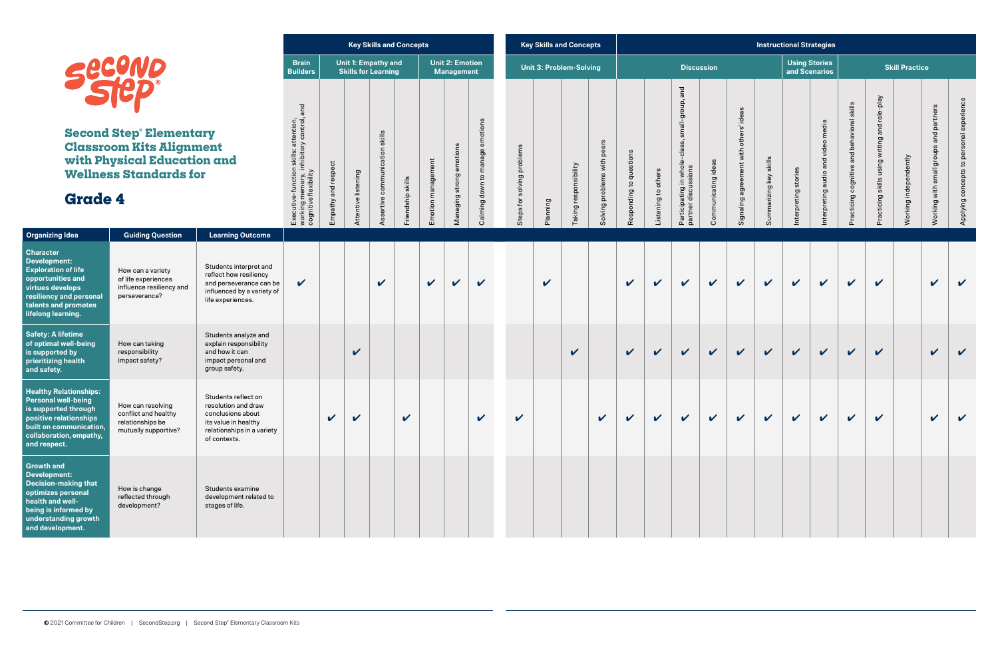|                                                                                                              |                     |                     |                                                          | <b>Key Skills and Concepts</b> |                    |                                             |                                    |                                  | <b>Key Skills and Concepts</b> |                       |                             |                                         |                     |                                                                                    |                     |                                           |                        | <b>Instructional Strategies</b> |                                       |
|--------------------------------------------------------------------------------------------------------------|---------------------|---------------------|----------------------------------------------------------|--------------------------------|--------------------|---------------------------------------------|------------------------------------|----------------------------------|--------------------------------|-----------------------|-----------------------------|-----------------------------------------|---------------------|------------------------------------------------------------------------------------|---------------------|-------------------------------------------|------------------------|---------------------------------|---------------------------------------|
| <b>Brain</b><br><b>Builders</b>                                                                              |                     |                     | <b>Unit 1: Empathy and</b><br><b>Skills for Learning</b> |                                |                    | <b>Unit 2: Emotion</b><br><b>Management</b> |                                    |                                  | <b>Unit 3: Problem-Solving</b> |                       |                             |                                         |                     |                                                                                    | <b>Discussion</b>   |                                           |                        |                                 | <b>Using Stories</b><br>and Scenarios |
| working memory, inhibitory control, and<br>skills: attention,<br>Executive-function<br>cognitive flexibility | Empathy and respect | Attentive listening | skills<br>communication<br>Assertive                     | Friendship skills              | Emotion management | emotions<br>strong<br>Managing              | emotions<br>Calming down to manage | problems<br>solving<br>Steps for | Planning                       | Taking responsibility | Solving problems with peers | questions<br>$\mathbf{S}$<br>Responding | Listening to others | and<br>small-group,<br>-class,<br>Participating in whole<br>discussions<br>partner | Communicating ideas | agreement with others' ideas<br>Signaling | Summarizing key skills | stories<br>Interpreting         | and video media<br>Interpreting audio |
|                                                                                                              |                     |                     |                                                          |                                |                    |                                             |                                    |                                  |                                |                       |                             |                                         |                     |                                                                                    |                     |                                           |                        |                                 |                                       |

|                                        |                        | <b>Instructional Strategies</b> |                                        |                                            |                                               |                       |                                        |                                          |
|----------------------------------------|------------------------|---------------------------------|----------------------------------------|--------------------------------------------|-----------------------------------------------|-----------------------|----------------------------------------|------------------------------------------|
|                                        |                        |                                 | <b>Using Stories<br/>and Scenarios</b> |                                            |                                               | <b>Skill Practice</b> |                                        |                                          |
| Signaling agreement with others' ideas | Summarizing key skills | Interpreting stories            | Interpreting audio and video media     | Practicing cognitive and behavioral skills | Practicing skills using writing and role-play | Working independently | Working with small groups and partners | Applying concepts to personal experience |
|                                        |                        |                                 |                                        |                                            |                                               |                       |                                        |                                          |
|                                        |                        |                                 |                                        |                                            |                                               |                       |                                        |                                          |
|                                        |                        |                                 |                                        |                                            |                                               |                       |                                        |                                          |
|                                        |                        |                                 |                                        |                                            |                                               |                       |                                        |                                          |

| <b>Organizing Idea</b>                                                                                                                                                                  | <b>Guiding Question</b>                                                               | <b>Learning Outcome</b>                                                                                                               |             |   |                            |   |                            |              |             |                            |                            |             |              |                            |              |             |              |              |              |              |              |              |              |                            |              |  |
|-----------------------------------------------------------------------------------------------------------------------------------------------------------------------------------------|---------------------------------------------------------------------------------------|---------------------------------------------------------------------------------------------------------------------------------------|-------------|---|----------------------------|---|----------------------------|--------------|-------------|----------------------------|----------------------------|-------------|--------------|----------------------------|--------------|-------------|--------------|--------------|--------------|--------------|--------------|--------------|--------------|----------------------------|--------------|--|
| <b>Character</b><br><b>Development:</b><br><b>Exploration of life</b><br>opportunities and<br>virtues develops<br>resiliency and personal<br>talents and promotes<br>lifelong learning. | How can a variety<br>of life experiences<br>influence resiliency and<br>perseverance? | Students interpret and<br>reflect how resiliency<br>and perseverance can be<br>influenced by a variety of<br>life experiences.        | $\mathbf v$ |   |                            | V |                            | $\mathbf{v}$ | $\mathbf v$ | $\mathbf v$                |                            | $\mathbf v$ |              |                            | $\checkmark$ | $\mathbf v$ | $\checkmark$ | $\checkmark$ | $\mathbf{v}$ | $\checkmark$ | $\mathbf{v}$ | $\mathbf v$  | $\checkmark$ | $\boldsymbol{\mathcal{U}}$ | $\checkmark$ |  |
| <b>Safety: A lifetime</b><br>of optimal well-being<br>is supported by<br>prioritizing health<br>and safety.                                                                             | How can taking<br>responsibility<br>impact safety?                                    | Students analyze and<br>explain responsibility<br>and how it can<br>impact personal and<br>group safety.                              |             |   | $\boldsymbol{\mathcal{U}}$ |   |                            |              |             |                            |                            |             | $\checkmark$ |                            | $\checkmark$ | $\mathbf v$ | $\checkmark$ | $\checkmark$ | $\checkmark$ | $\checkmark$ | $\mathbf{v}$ | $\checkmark$ | $\checkmark$ | $\mathbf{v}$               | $\mathbf v$  |  |
| <b>Healthy Relationships:</b><br><b>Personal well-being</b><br>is supported through<br>positive relationships<br>built on communication,<br>collaboration, empathy,<br>and respect.     | How can resolving<br>conflict and healthy<br>relationships be<br>mutually supportive? | Students reflect on<br>resolution and draw<br>conclusions about<br>its value in healthy<br>relationships in a variety<br>of contexts. |             | V | $\boldsymbol{\mathcal{U}}$ |   | $\boldsymbol{\mathcal{U}}$ |              |             | $\boldsymbol{\mathcal{U}}$ | $\boldsymbol{\mathcal{U}}$ |             |              | $\boldsymbol{\mathcal{U}}$ | $\checkmark$ | $\mathbf v$ | $\checkmark$ | $\checkmark$ | $\checkmark$ | $\checkmark$ | $\mathbf v$  | $\mathbf{v}$ | $\checkmark$ | $\boldsymbol{\mathcal{U}}$ | $\checkmark$ |  |
| <b>Growth and</b><br><b>Development:</b><br><b>Decision-making that</b><br>optimizes personal<br>health and well-<br>being is informed by<br>understanding growth<br>and development.   | How is change<br>reflected through<br>development?                                    | Students examine<br>development related to<br>stages of life.                                                                         |             |   |                            |   |                            |              |             |                            |                            |             |              |                            |              |             |              |              |              |              |              |              |              |                            |              |  |

**Second Step® Elementary Classroom Kits Alignment with Physical Education and Wellness Standards for**



**Grade 4**